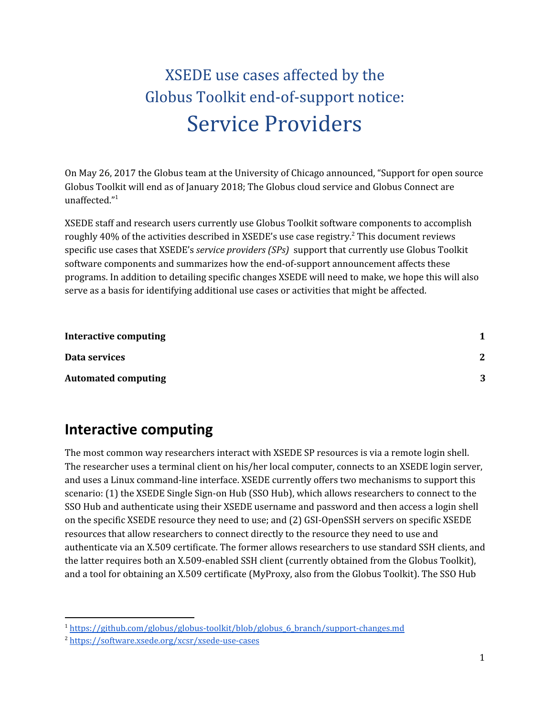## XSEDE use cases affected by the Globus Toolkit end-of-support notice: Service Providers

On May 26, 2017 the Globus team at the University of Chicago announced, "Support for open source Globus Toolkit will end as of January 2018; The Globus cloud service and Globus Connect are unaffected." 1

XSEDE staff and research users currently use Globus Toolkit software components to accomplish roughly 40% of the activities described in XSEDE's use case registry.<sup>2</sup> This document reviews specific use cases that XSEDE's *service providers (SPs)* support that currently use Globus Toolkit software components and summarizes how the end-of-support announcement affects these programs. In addition to detailing specific changes XSEDE will need to make, we hope this will also serve as a basis for identifying additional use cases or activities that might be affected.

| Interactive computing      |   |
|----------------------------|---|
| Data services              | 2 |
| <b>Automated computing</b> | 3 |

## <span id="page-0-0"></span>**Interactive computing**

The most common way researchers interact with XSEDE SP resources is via a remote login shell. The researcher uses a terminal client on his/her local computer, connects to an XSEDE login server, and uses a Linux command-line interface. XSEDE currently offers two mechanisms to support this scenario: (1) the XSEDE Single Sign-on Hub (SSO Hub), which allows researchers to connect to the SSO Hub and authenticate using their XSEDE username and password and then access a login shell on the specific XSEDE resource they need to use; and (2) GSI-OpenSSH servers on specific XSEDE resources that allow researchers to connect directly to the resource they need to use and authenticate via an X.509 certificate. The former allows researchers to use standard SSH clients, and the latter requires both an X.509-enabled SSH client (currently obtained from the Globus Toolkit), and a tool for obtaining an X.509 certificate (MyProxy, also from the Globus Toolkit). The SSO Hub

<sup>1</sup> [https://github.com/globus/globus-toolkit/blob/globus\\_6\\_branch/support-changes.md](https://github.com/globus/globus-toolkit/blob/globus_6_branch/support-changes.md)

<sup>2</sup> <https://software.xsede.org/xcsr/xsede-use-cases>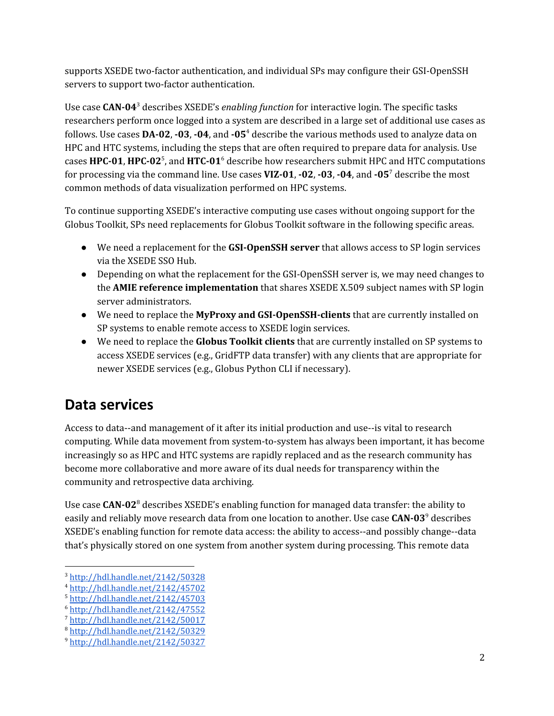supports XSEDE two-factor authentication, and individual SPs may configure their GSI-OpenSSH servers to support two-factor authentication.

Use case CAN-04<sup>3</sup> describes XSEDE's *enabling function* for interactive login. The specific tasks researchers perform once logged into a system are described in a large set of additional use cases as follows. Use cases **DA-02**, **-03**, **-04**, and **-05** describe the various methods used to analyze data on 4 HPC and HTC systems, including the steps that are often required to prepare data for analysis. Use cases **HPC-01, HPC-02**<sup>5</sup>, and **HTC-01**<sup>6</sup> describe how researchers submit HPC and HTC computations for processing via the command line. Use cases **VIZ-01**, **-02**, **-03**, **-04**, and **-05** describe the most 7 common methods of data visualization performed on HPC systems.

To continue supporting XSEDE's interactive computing use cases without ongoing support for the Globus Toolkit, SPs need replacements for Globus Toolkit software in the following specific areas.

- We need a replacement for the **GSI-OpenSSH server** that allows access to SP login services via the XSEDE SSO Hub.
- Depending on what the replacement for the GSI-OpenSSH server is, we may need changes to the **AMIE reference implementation** that shares XSEDE X.509 subject names with SP login server administrators.
- We need to replace the **MyProxy and GSI-OpenSSH-clients** that are currently installed on SP systems to enable remote access to XSEDE login services.
- We need to replace the **Globus Toolkit clients** that are currently installed on SP systems to access XSEDE services (e.g., GridFTP data transfer) with any clients that are appropriate for newer XSEDE services (e.g., Globus Python CLI if necessary).

## <span id="page-1-0"></span>**Data services**

Access to data--and management of it after its initial production and use--is vital to research computing. While data movement from system-to-system has always been important, it has become increasingly so as HPC and HTC systems are rapidly replaced and as the research community has become more collaborative and more aware of its dual needs for transparency within the community and retrospective data archiving.

Use case CAN-02<sup>8</sup> describes XSEDE's enabling function for managed data transfer: the ability to easily and reliably move research data from one location to another. Use case CAN-03<sup>9</sup> describes XSEDE's enabling function for remote data access: the ability to access--and possibly change--data that's physically stored on one system from another system during processing. This remote data

<sup>3</sup> <http://hdl.handle.net/2142/50328>

<sup>4</sup> <http://hdl.handle.net/2142/45702>

<sup>5</sup> <http://hdl.handle.net/2142/45703>

<sup>6</sup> <http://hdl.handle.net/2142/47552>

<sup>7</sup> <http://hdl.handle.net/2142/50017>

<sup>8</sup> <http://hdl.handle.net/2142/50329>

<sup>9</sup> <http://hdl.handle.net/2142/50327>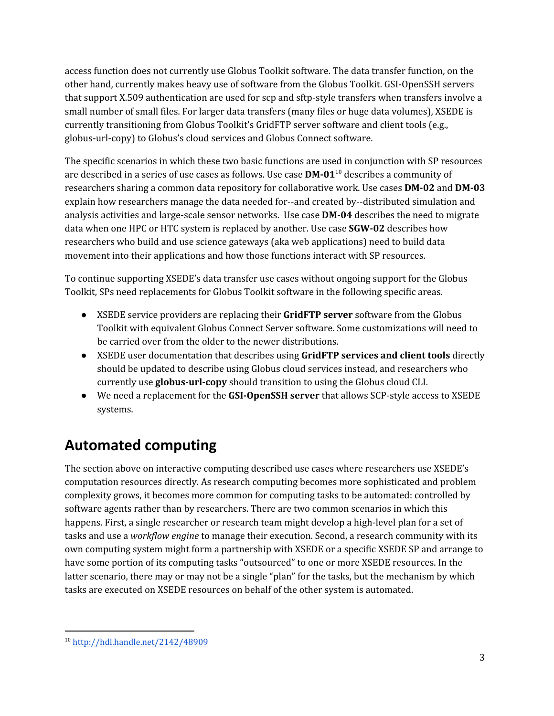access function does not currently use Globus Toolkit software. The data transfer function, on the other hand, currently makes heavy use of software from the Globus Toolkit. GSI-OpenSSH servers that support X.509 authentication are used for scp and sftp-style transfers when transfers involve a small number of small files. For larger data transfers (many files or huge data volumes), XSEDE is currently transitioning from Globus Toolkit's GridFTP server software and client tools (e.g., globus-url-copy) to Globus's cloud services and Globus Connect software.

The specific scenarios in which these two basic functions are used in conjunction with SP resources are described in a series of use cases as follows. Use case **DM-01**<sup>10</sup> describes a community of researchers sharing a common data repository for collaborative work. Use cases **DM-02** and **DM-03** explain how researchers manage the data needed for--and created by--distributed simulation and analysis activities and large-scale sensor networks. Use case **DM-04** describes the need to migrate data when one HPC or HTC system is replaced by another. Use case **SGW-02** describes how researchers who build and use science gateways (aka web applications) need to build data movement into their applications and how those functions interact with SP resources.

To continue supporting XSEDE's data transfer use cases without ongoing support for the Globus Toolkit, SPs need replacements for Globus Toolkit software in the following specific areas.

- XSEDE service providers are replacing their **GridFTP server** software from the Globus Toolkit with equivalent Globus Connect Server software. Some customizations will need to be carried over from the older to the newer distributions.
- XSEDE user documentation that describes using **GridFTP services and client tools** directly should be updated to describe using Globus cloud services instead, and researchers who currently use **globus-url-copy** should transition to using the Globus cloud CLI.
- We need a replacement for the **GSI-OpenSSH server** that allows SCP-style access to XSEDE systems.

## <span id="page-2-0"></span>**Automated computing**

The section above on interactive computing described use cases where researchers use XSEDE's computation resources directly. As research computing becomes more sophisticated and problem complexity grows, it becomes more common for computing tasks to be automated: controlled by software agents rather than by researchers. There are two common scenarios in which this happens. First, a single researcher or research team might develop a high-level plan for a set of tasks and use a *workflow engine* to manage their execution. Second, a research community with its own computing system might form a partnership with XSEDE or a specific XSEDE SP and arrange to have some portion of its computing tasks "outsourced" to one or more XSEDE resources. In the latter scenario, there may or may not be a single "plan" for the tasks, but the mechanism by which tasks are executed on XSEDE resources on behalf of the other system is automated.

<sup>10</sup> <http://hdl.handle.net/2142/48909>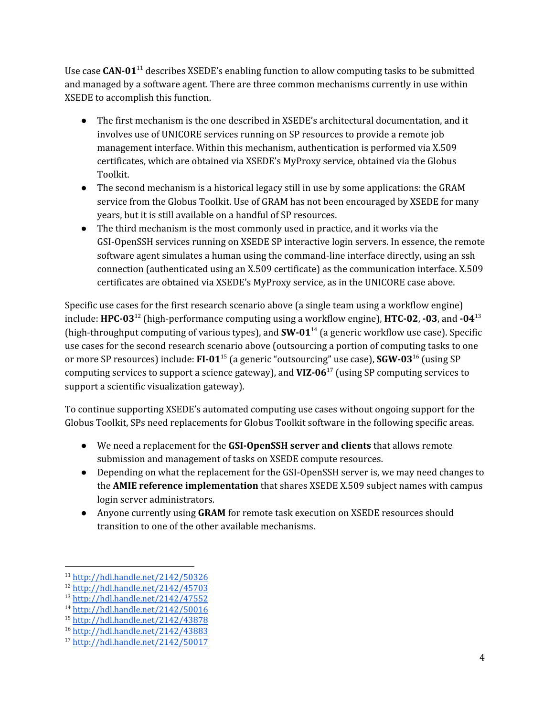Use case CAN-01<sup>11</sup> describes XSEDE's enabling function to allow computing tasks to be submitted and managed by a software agent. There are three common mechanisms currently in use within XSEDE to accomplish this function.

- The first mechanism is the one described in XSEDE's architectural documentation, and it involves use of UNICORE services running on SP resources to provide a remote job management interface. Within this mechanism, authentication is performed via X.509 certificates, which are obtained via XSEDE's MyProxy service, obtained via the Globus Toolkit.
- The second mechanism is a historical legacy still in use by some applications: the GRAM service from the Globus Toolkit. Use of GRAM has not been encouraged by XSEDE for many years, but it is still available on a handful of SP resources.
- The third mechanism is the most commonly used in practice, and it works via the GSI-OpenSSH services running on XSEDE SP interactive login servers. In essence, the remote software agent simulates a human using the command-line interface directly, using an ssh connection (authenticated using an X.509 certificate) as the communication interface. X.509 certificates are obtained via XSEDE's MyProxy service, as in the UNICORE case above.

Specific use cases for the first research scenario above (a single team using a workflow engine) include:  $\textbf{HPC-03}^\text{12}$  (high-performance computing using a workflow engine),  $\textbf{HTC-02}$ ,  $\textbf{-03}$ , and  $\textbf{-04}^\text{13}$ (high-throughput computing of various types), and  $SW-01^{14}$  (a generic workflow use case). Specific use cases for the second research scenario above (outsourcing a portion of computing tasks to one or more SP resources) include: **FI-01**<sup>15</sup> (a generic "outsourcing" use case), **SGW-03**<sup>16</sup> (using SP computing services to support a science gateway), and  $VIZ-06<sup>17</sup>$  (using SP computing services to support a scientific visualization gateway).

To continue supporting XSEDE's automated computing use cases without ongoing support for the Globus Toolkit, SPs need replacements for Globus Toolkit software in the following specific areas.

- We need a replacement for the **GSI-OpenSSH server and clients** that allows remote submission and management of tasks on XSEDE compute resources.
- Depending on what the replacement for the GSI-OpenSSH server is, we may need changes to the **AMIE reference implementation** that shares XSEDE X.509 subject names with campus login server administrators.
- Anyone currently using **GRAM** for remote task execution on XSEDE resources should transition to one of the other available mechanisms.

<sup>11</sup> <http://hdl.handle.net/2142/50326>

<sup>12</sup> <http://hdl.handle.net/2142/45703>

<sup>13</sup> <http://hdl.handle.net/2142/47552>

<sup>14</sup> <http://hdl.handle.net/2142/50016>

<sup>15</sup> <http://hdl.handle.net/2142/43878>

<sup>16</sup> <http://hdl.handle.net/2142/43883>

<sup>17</sup> <http://hdl.handle.net/2142/50017>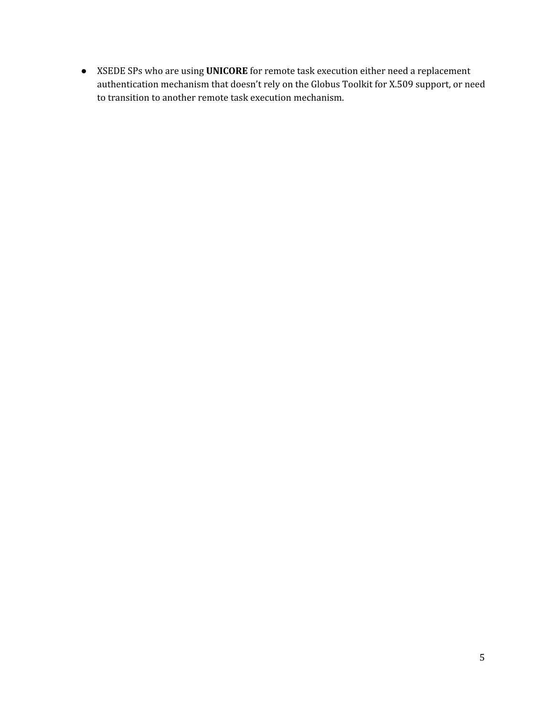● XSEDE SPs who are using **UNICORE** for remote task execution either need a replacement authentication mechanism that doesn't rely on the Globus Toolkit for X.509 support, or need to transition to another remote task execution mechanism.